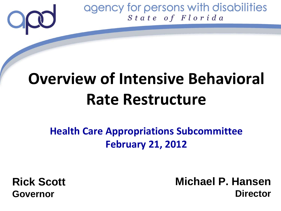

# **Overview of Intensive Behavioral Rate Restructure**

**Health Care Appropriations Subcommittee February 21, 2012** 

**Rick Scott Governor**

**Michael P. Hansen Director**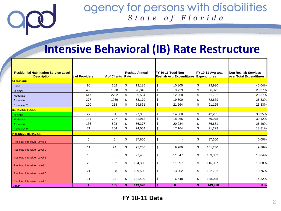# **Intensive Behavioral (IB) Rate Restructure**

| <b>Residential Habilitation Service Level</b><br><b>Description</b> | # of Providers | # of Clients | <b>Reshab Annual</b><br><b>Rate</b> | IFY 10-11 Total Non-<br>Reshab Avg Expenditures Expenditures | FY 10-11 Avg total                  | Non Reshab Services<br>over Total Expenditures |
|---------------------------------------------------------------------|----------------|--------------|-------------------------------------|--------------------------------------------------------------|-------------------------------------|------------------------------------------------|
| <b>STANDARD</b>                                                     |                |              |                                     |                                                              |                                     |                                                |
| <b>Basic</b>                                                        | 96             | 262          | \$<br>13,185                        | \$<br>10.805                                                 | \$<br>23,990                        | 45.04%                                         |
| Minimal                                                             | 406            | 1578         | \$<br>26,346                        | \$<br>9.729                                                  | \$<br>36,075                        | 26.97%                                         |
| Moderate                                                            | 617            | 2702         | \$<br>39,534                        | \$<br>12,258                                                 | $\sqrt{3}$<br>51,792                | 23.67%                                         |
| <b>Extensive 1</b>                                                  | 377            | 1039         | \$<br>53,179                        | \$<br>19,500                                                 | $\sqrt{3}$<br>72,679                | 26.83%                                         |
| Extensive 2                                                         | 120            | 188          | \$<br>69,861                        | \$<br>21,264                                                 | $\boldsymbol{\mathsf{S}}$<br>91,125 | 23.33%                                         |
| <b>BEHAVIOR FOCUS</b>                                               |                |              |                                     |                                                              |                                     |                                                |
| <b>Minimal</b>                                                      | 27             | 61           | \$<br>27,935                        | \$<br>14,360                                                 | $\sqrt{3}$<br>42,295                | 33.95%                                         |
| <b>Moderate</b>                                                     | 134            | 727          | \$<br>41,913                        | \$<br>18,065                                                 | \$<br>59,978                        | 30.12%                                         |
| <b>Extensive 1</b>                                                  | 136            | 593          | \$<br>56,377                        | \$<br>20,284                                                 | $\sqrt{3}$<br>76,661                | 26.46%                                         |
| <b>Extensive 2</b>                                                  | 71             | 264          | \$<br>74,064                        | \$<br>17,164                                                 | \$<br>91,229                        | 18.81%                                         |
| <b>INTENSIVE BEHAVIOR</b>                                           |                |              |                                     |                                                              |                                     |                                                |
| Res Hab Intensive Level 1                                           | $\mathbf 0$    | 0            | \$<br>87,600                        | \$                                                           | \$<br>87,600                        | 0.00%                                          |
| Res Hab Intensive Level 2                                           | 11             | 24           | \$<br>91,250                        | \$<br>9,980                                                  | S.<br>101,230                       | 9.86%                                          |
| Res Hab Intensive Level 3                                           | 18             | 85           | \$<br>97,455                        | \$<br>11,847                                                 | \$<br>109,302                       | 10.84%                                         |
| Res Hab Intensive Level 4                                           | 23             | 182          | \$<br>104,390                       | \$<br>11,697                                                 | S.<br>116,087                       | 10.08%                                         |
| Res Hab Intensive Level 5                                           | 21             | 108          | \$<br>109,500                       | \$<br>13,202                                                 | \$<br>122,702                       | 10.76%                                         |
| Res Hab Intensive Level 6                                           | 11             | 23           | \$<br>131,400                       | \$<br>6,648                                                  | \$<br>138,048                       | 4.82%                                          |
| <b>I</b> CTEP                                                       | 1              | 155          | \$<br>149,928                       | \$<br>$\mathbf{0}$                                           | \$<br>149,928                       | 0%                                             |

**FY 10-11 Data**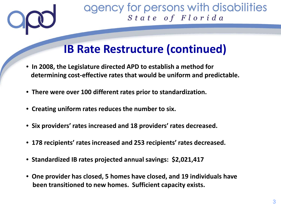

# **IB Rate Restructure (continued)**

- • **In 2008, the Legislature directed APD to establish a method for determining cost-effective rates that would be uniform and predictable.**
- • **There were over 100 different rates prior to standardization.**
- • **Creating uniform rates reduces the number to six.**
- • **Six providers' rates increased and 18 providers' rates decreased.**
- • **178 recipients' rates increased and 253 recipients' rates decreased.**
- • **Standardized IB rates projected annual savings: \$2,021,417**
- • **One provider has closed, 5 homes have closed, and 19 individuals have been transitioned to new homes. Sufficient capacity exists.**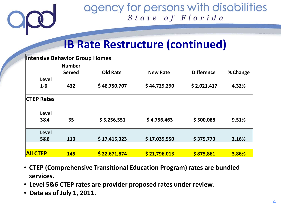

# **IB Rate Restructure (continued)**

| <b>Intensive Behavior Group Homes</b> |                                |                 |                 |                   |          |  |  |  |  |  |
|---------------------------------------|--------------------------------|-----------------|-----------------|-------------------|----------|--|--|--|--|--|
|                                       | <b>Number</b><br><b>Served</b> | <b>Old Rate</b> | <b>New Rate</b> | <b>Difference</b> | % Change |  |  |  |  |  |
| <b>Level</b>                          |                                |                 |                 |                   |          |  |  |  |  |  |
| $1-6$                                 | 432                            | \$46,750,707    | \$44,729,290    | \$2,021,417       | 4.32%    |  |  |  |  |  |
|                                       |                                |                 |                 |                   |          |  |  |  |  |  |
| <b>CTEP Rates</b>                     |                                |                 |                 |                   |          |  |  |  |  |  |
| <b>Level</b>                          |                                |                 |                 |                   |          |  |  |  |  |  |
| 3&4                                   | 35                             | \$5,256,551     | \$4,756,463     | \$500,088         | 9.51%    |  |  |  |  |  |
| <b>Level</b>                          |                                |                 |                 |                   |          |  |  |  |  |  |
| 5&6                                   | 110                            | \$17,415,323    | \$17,039,550    | \$375,773         | 2.16%    |  |  |  |  |  |
|                                       |                                |                 |                 |                   |          |  |  |  |  |  |
| <b>AII CTEP</b>                       | <b>145</b>                     | \$22,671,874    | \$21,796,013    | \$875,861         | 3.86%    |  |  |  |  |  |

- **CTEP (Comprehensive Transitional Education Program) rates are bundled services.**
- • **Level 5&6 CTEP rates are provider proposed rates under review.**
- • **Data as of July 1, 2011.**